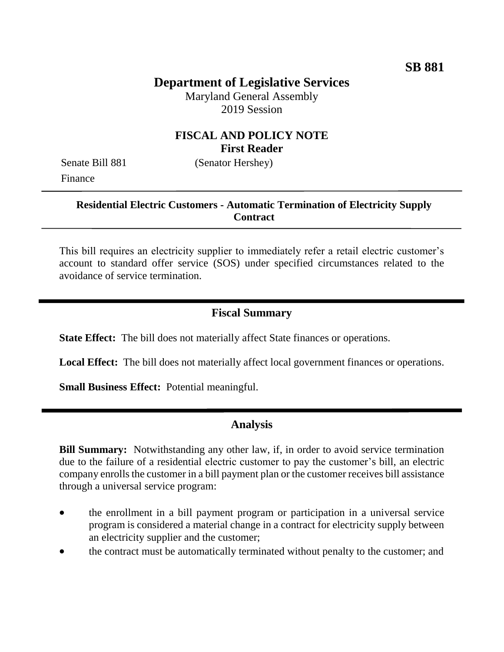# **Department of Legislative Services**

Maryland General Assembly 2019 Session

### **FISCAL AND POLICY NOTE First Reader**

Senate Bill 881 (Senator Hershey) Finance

### **Residential Electric Customers - Automatic Termination of Electricity Supply Contract**

This bill requires an electricity supplier to immediately refer a retail electric customer's account to standard offer service (SOS) under specified circumstances related to the avoidance of service termination.

### **Fiscal Summary**

**State Effect:** The bill does not materially affect State finances or operations.

**Local Effect:** The bill does not materially affect local government finances or operations.

**Small Business Effect:** Potential meaningful.

# **Analysis**

**Bill Summary:** Notwithstanding any other law, if, in order to avoid service termination due to the failure of a residential electric customer to pay the customer's bill, an electric company enrolls the customer in a bill payment plan or the customer receives bill assistance through a universal service program:

- the enrollment in a bill payment program or participation in a universal service program is considered a material change in a contract for electricity supply between an electricity supplier and the customer;
- the contract must be automatically terminated without penalty to the customer; and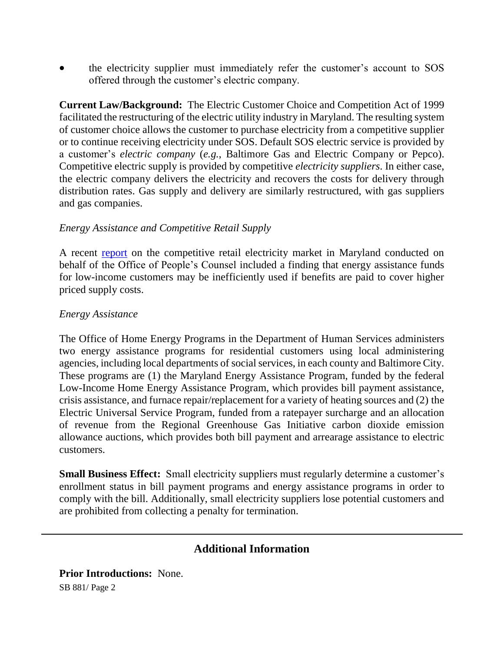the electricity supplier must immediately refer the customer's account to SOS offered through the customer's electric company.

**Current Law/Background:** The Electric Customer Choice and Competition Act of 1999 facilitated the restructuring of the electric utility industry in Maryland. The resulting system of customer choice allows the customer to purchase electricity from a competitive supplier or to continue receiving electricity under SOS. Default SOS electric service is provided by a customer's *electric company* (*e.g.*, Baltimore Gas and Electric Company or Pepco). Competitive electric supply is provided by competitive *electricity suppliers*. In either case, the electric company delivers the electricity and recovers the costs for delivery through distribution rates. Gas supply and delivery are similarly restructured, with gas suppliers and gas companies.

#### *Energy Assistance and Competitive Retail Supply*

A recent [report](http://www.opc.state.md.us/Portals/0/Hot%20Topics/Maryland%20Electric%20and%20Gas%20Residential%20Supply%20Report%20November%202018.pdf) on the competitive retail electricity market in Maryland conducted on behalf of the Office of People's Counsel included a finding that energy assistance funds for low-income customers may be inefficiently used if benefits are paid to cover higher priced supply costs.

#### *Energy Assistance*

The Office of Home Energy Programs in the Department of Human Services administers two energy assistance programs for residential customers using local administering agencies, including local departments of social services, in each county and Baltimore City. These programs are (1) the Maryland Energy Assistance Program, funded by the federal Low-Income Home Energy Assistance Program, which provides bill payment assistance, crisis assistance, and furnace repair/replacement for a variety of heating sources and (2) the Electric Universal Service Program, funded from a ratepayer surcharge and an allocation of revenue from the Regional Greenhouse Gas Initiative carbon dioxide emission allowance auctions, which provides both bill payment and arrearage assistance to electric customers.

**Small Business Effect:** Small electricity suppliers must regularly determine a customer's enrollment status in bill payment programs and energy assistance programs in order to comply with the bill. Additionally, small electricity suppliers lose potential customers and are prohibited from collecting a penalty for termination.

# **Additional Information**

SB 881/ Page 2 **Prior Introductions:** None.